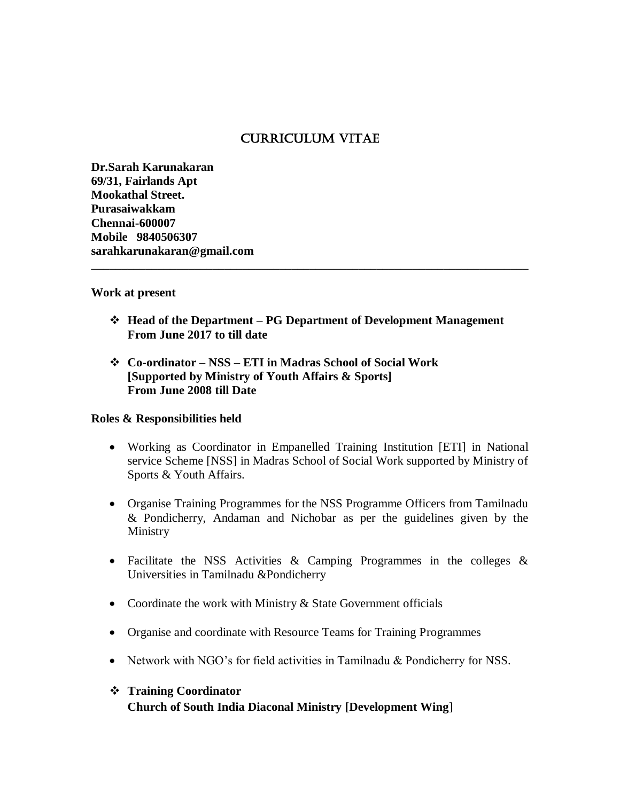# Curriculum Vitae

**Dr.Sarah Karunakaran 69/31, Fairlands Apt Mookathal Street. Purasaiwakkam Chennai-600007 Mobile 9840506307 sarahkarunakaran@gmail.com**

### **Work at present**

 **Head of the Department – PG Department of Development Management From June 2017 to till date**

\_\_\_\_\_\_\_\_\_\_\_\_\_\_\_\_\_\_\_\_\_\_\_\_\_\_\_\_\_\_\_\_\_\_\_\_\_\_\_\_\_\_\_\_\_\_\_\_\_\_\_\_\_\_\_\_\_\_\_\_\_\_\_\_\_\_\_\_\_\_\_\_

 **Co-ordinator – NSS – ETI in Madras School of Social Work [Supported by Ministry of Youth Affairs & Sports] From June 2008 till Date**

### **Roles & Responsibilities held**

- Working as Coordinator in Empanelled Training Institution [ETI] in National service Scheme [NSS] in Madras School of Social Work supported by Ministry of Sports & Youth Affairs.
- Organise Training Programmes for the NSS Programme Officers from Tamilnadu & Pondicherry, Andaman and Nichobar as per the guidelines given by the Ministry
- Facilitate the NSS Activities  $\&$  Camping Programmes in the colleges  $\&$ Universities in Tamilnadu &Pondicherry
- Coordinate the work with Ministry & State Government officials
- Organise and coordinate with Resource Teams for Training Programmes
- Network with NGO's for field activities in Tamilnadu & Pondicherry for NSS.

## **Training Coordinator**

**Church of South India Diaconal Ministry [Development Wing**]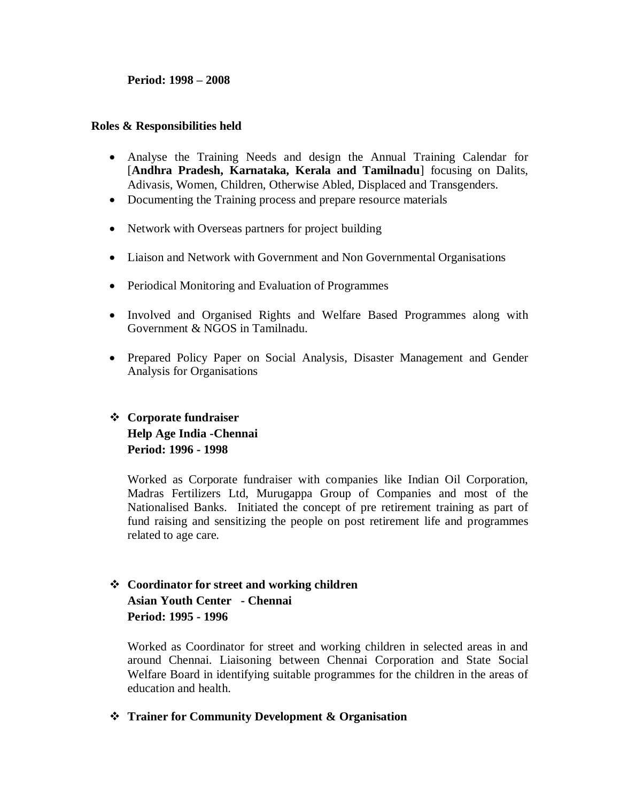#### **Period: 1998 – 2008**

#### **Roles & Responsibilities held**

- Analyse the Training Needs and design the Annual Training Calendar for [**Andhra Pradesh, Karnataka, Kerala and Tamilnadu**] focusing on Dalits, Adivasis, Women, Children, Otherwise Abled, Displaced and Transgenders*.*
- Documenting the Training process and prepare resource materials
- Network with Overseas partners for project building
- Liaison and Network with Government and Non Governmental Organisations
- Periodical Monitoring and Evaluation of Programmes
- Involved and Organised Rights and Welfare Based Programmes along with Government & NGOS in Tamilnadu.
- Prepared Policy Paper on Social Analysis, Disaster Management and Gender Analysis for Organisations

# **Corporate fundraiser Help Age India -Chennai Period: 1996 - 1998**

Worked as Corporate fundraiser with companies like Indian Oil Corporation, Madras Fertilizers Ltd, Murugappa Group of Companies and most of the Nationalised Banks. Initiated the concept of pre retirement training as part of fund raising and sensitizing the people on post retirement life and programmes related to age care.

# **Coordinator for street and working children Asian Youth Center - Chennai Period: 1995 - 1996**

Worked as Coordinator for street and working children in selected areas in and around Chennai. Liaisoning between Chennai Corporation and State Social Welfare Board in identifying suitable programmes for the children in the areas of education and health.

**Trainer for Community Development & Organisation**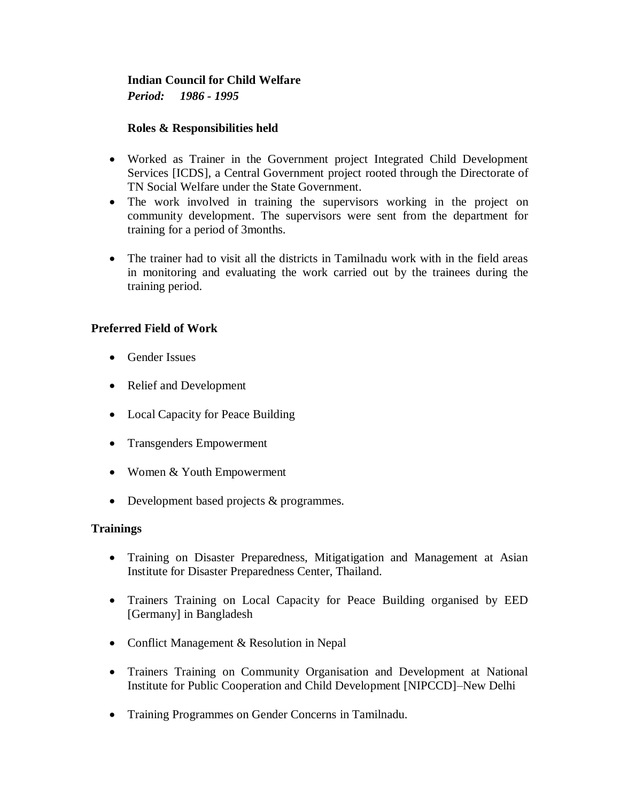# **Indian Council for Child Welfare**  *Period: 1986 - 1995*

## **Roles & Responsibilities held**

- Worked as Trainer in the Government project Integrated Child Development Services [ICDS], a Central Government project rooted through the Directorate of TN Social Welfare under the State Government.
- The work involved in training the supervisors working in the project on community development. The supervisors were sent from the department for training for a period of 3months.
- The trainer had to visit all the districts in Tamilnadu work with in the field areas in monitoring and evaluating the work carried out by the trainees during the training period.

# **Preferred Field of Work**

- Gender Issues
- Relief and Development
- Local Capacity for Peace Building
- Transgenders Empowerment
- Women & Youth Empowerment
- Development based projects & programmes.

## **Trainings**

- Training on Disaster Preparedness, Mitigatigation and Management at Asian Institute for Disaster Preparedness Center, Thailand.
- Trainers Training on Local Capacity for Peace Building organised by EED [Germany] in Bangladesh
- Conflict Management & Resolution in Nepal
- Trainers Training on Community Organisation and Development at National Institute for Public Cooperation and Child Development [NIPCCD]–New Delhi
- Training Programmes on Gender Concerns in Tamilnadu.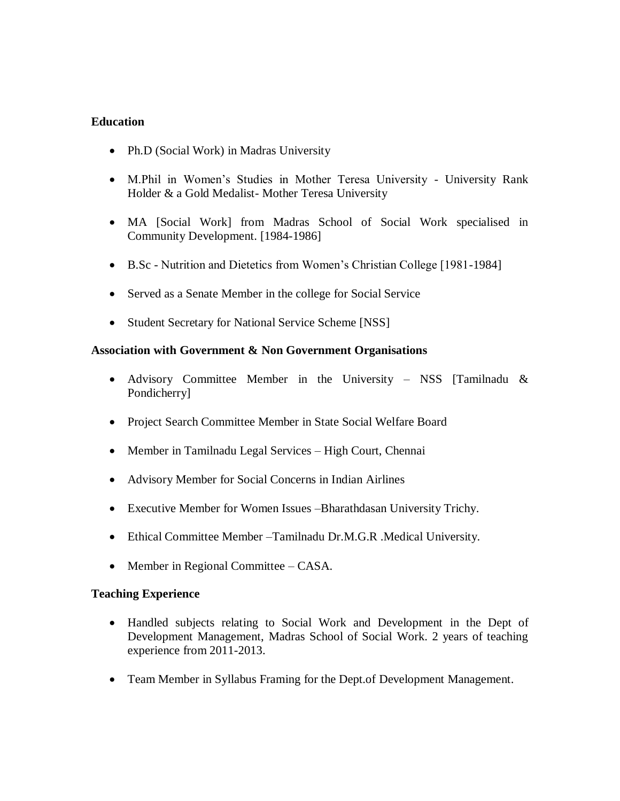### **Education**

- Ph.D (Social Work) in Madras University
- M.Phil in Women's Studies in Mother Teresa University University Rank Holder & a Gold Medalist- Mother Teresa University
- MA [Social Work] from Madras School of Social Work specialised in Community Development. [1984-1986]
- B.Sc Nutrition and Dietetics from Women's Christian College [1981-1984]
- Served as a Senate Member in the college for Social Service
- Student Secretary for National Service Scheme [NSS]

### **Association with Government & Non Government Organisations**

- Advisory Committee Member in the University NSS [Tamilnadu & Pondicherry]
- Project Search Committee Member in State Social Welfare Board
- Member in Tamilnadu Legal Services High Court, Chennai
- Advisory Member for Social Concerns in Indian Airlines
- Executive Member for Women Issues –Bharathdasan University Trichy.
- Ethical Committee Member –Tamilnadu Dr.M.G.R .Medical University.
- Member in Regional Committee CASA.

### **Teaching Experience**

- Handled subjects relating to Social Work and Development in the Dept of Development Management, Madras School of Social Work. 2 years of teaching experience from 2011-2013.
- Team Member in Syllabus Framing for the Dept.of Development Management.